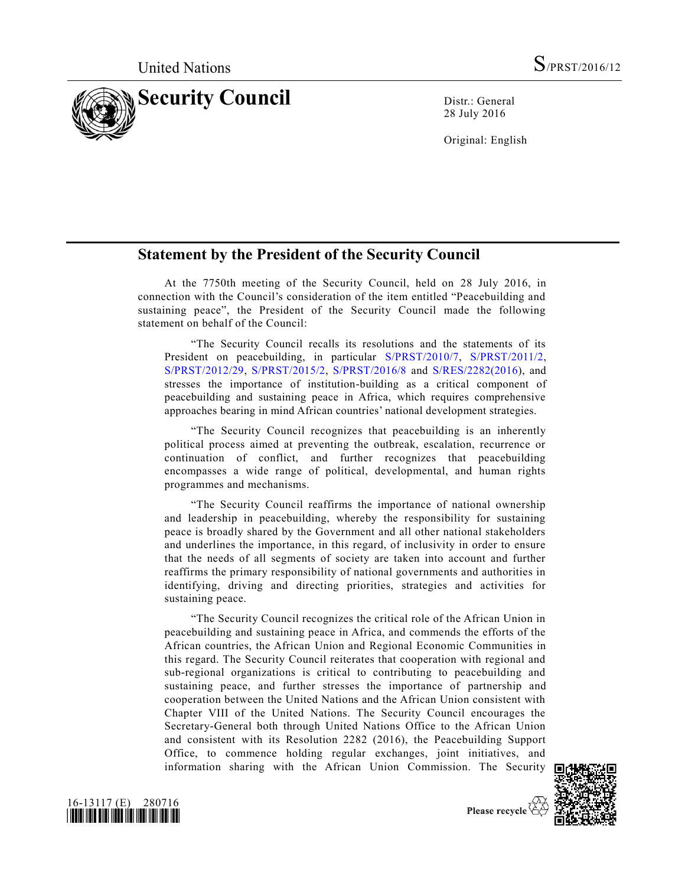

28 July 2016

Original: English

## **Statement by the President of the Security Council**

At the 7750th meeting of the Security Council, held on 28 July 2016, in connection with the Council's consideration of the item entitled "Peacebuilding and sustaining peace", the President of the Security Council made the following statement on behalf of the Council:

"The Security Council recalls its resolutions and the statements of its President on peacebuilding, in particular [S/PRST/2010/7,](http://undocs.org/S/PRST/2010/7) [S/PRST/2011/2,](http://undocs.org/S/PRST/2011/2) [S/PRST/2012/29,](http://undocs.org/S/PRST/2012/29) [S/PRST/2015/2,](http://undocs.org/S/PRST/2015/2) [S/PRST/2016/8](http://undocs.org/S/PRST/2016/8) and [S/RES/2282\(2016\)](http://undocs.org/S/RES/2282(2016), and stresses the importance of institution-building as a critical component of peacebuilding and sustaining peace in Africa, which requires comprehensive approaches bearing in mind African countries' national development strategies.

"The Security Council recognizes that peacebuilding is an inherently political process aimed at preventing the outbreak, escalation, recurrence or continuation of conflict, and further recognizes that peacebuilding encompasses a wide range of political, developmental, and human rights programmes and mechanisms.

"The Security Council reaffirms the importance of national ownership and leadership in peacebuilding, whereby the responsibility for sustaining peace is broadly shared by the Government and all other national stakeholders and underlines the importance, in this regard, of inclusivity in order to ensure that the needs of all segments of society are taken into account and further reaffirms the primary responsibility of national governments and authorities in identifying, driving and directing priorities, strategies and activities for sustaining peace.

"The Security Council recognizes the critical role of the African Union in peacebuilding and sustaining peace in Africa, and commends the efforts of the African countries, the African Union and Regional Economic Communities in this regard. The Security Council reiterates that cooperation with regional and sub-regional organizations is critical to contributing to peacebuilding and sustaining peace, and further stresses the importance of partnership and cooperation between the United Nations and the African Union consistent with Chapter VIII of the United Nations. The Security Council encourages the Secretary-General both through United Nations Office to the African Union and consistent with its Resolution 2282 (2016), the Peacebuilding Support Office, to commence holding regular exchanges, joint initiatives, and information sharing with the African Union Commission. The Security



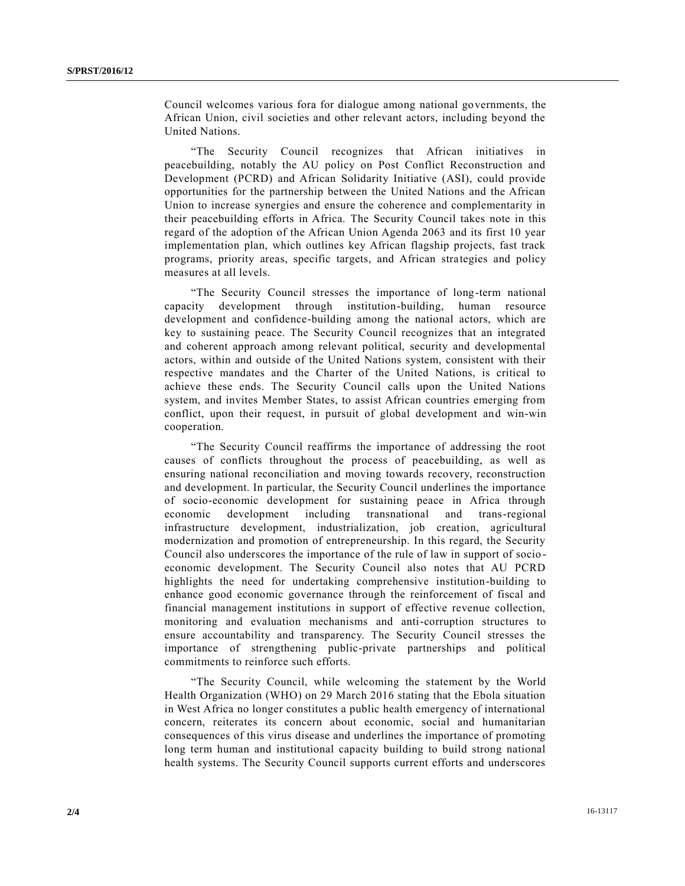Council welcomes various fora for dialogue among national governments, the African Union, civil societies and other relevant actors, including beyond the United Nations.

"The Security Council recognizes that African initiatives in peacebuilding, notably the AU policy on Post Conflict Reconstruction and Development (PCRD) and African Solidarity Initiative (ASI), could provide opportunities for the partnership between the United Nations and the African Union to increase synergies and ensure the coherence and complementarity in their peacebuilding efforts in Africa. The Security Council takes note in this regard of the adoption of the African Union Agenda 2063 and its first 10 year implementation plan, which outlines key African flagship projects, fast track programs, priority areas, specific targets, and African strategies and policy measures at all levels.

"The Security Council stresses the importance of long-term national capacity development through institution-building, human resource development and confidence-building among the national actors, which are key to sustaining peace. The Security Council recognizes that an integrated and coherent approach among relevant political, security and developmental actors, within and outside of the United Nations system, consistent with their respective mandates and the Charter of the United Nations, is critical to achieve these ends. The Security Council calls upon the United Nations system, and invites Member States, to assist African countries emerging from conflict, upon their request, in pursuit of global development and win-win cooperation.

"The Security Council reaffirms the importance of addressing the root causes of conflicts throughout the process of peacebuilding, as well as ensuring national reconciliation and moving towards recovery, reconstruction and development. In particular, the Security Council underlines the importance of socio-economic development for sustaining peace in Africa through economic development including transnational and trans-regional infrastructure development, industrialization, job creation, agricultural modernization and promotion of entrepreneurship. In this regard, the Security Council also underscores the importance of the rule of law in support of socio economic development. The Security Council also notes that AU PCRD highlights the need for undertaking comprehensive institution-building to enhance good economic governance through the reinforcement of fiscal and financial management institutions in support of effective revenue collection, monitoring and evaluation mechanisms and anti-corruption structures to ensure accountability and transparency. The Security Council stresses the importance of strengthening public-private partnerships and political commitments to reinforce such efforts.

"The Security Council, while welcoming the statement by the World Health Organization (WHO) on 29 March 2016 stating that the Ebola situation in West Africa no longer constitutes a public health emergency of international concern, reiterates its concern about economic, social and humanitarian consequences of this virus disease and underlines the importance of promoting long term human and institutional capacity building to build strong national health systems. The Security Council supports current efforts and underscores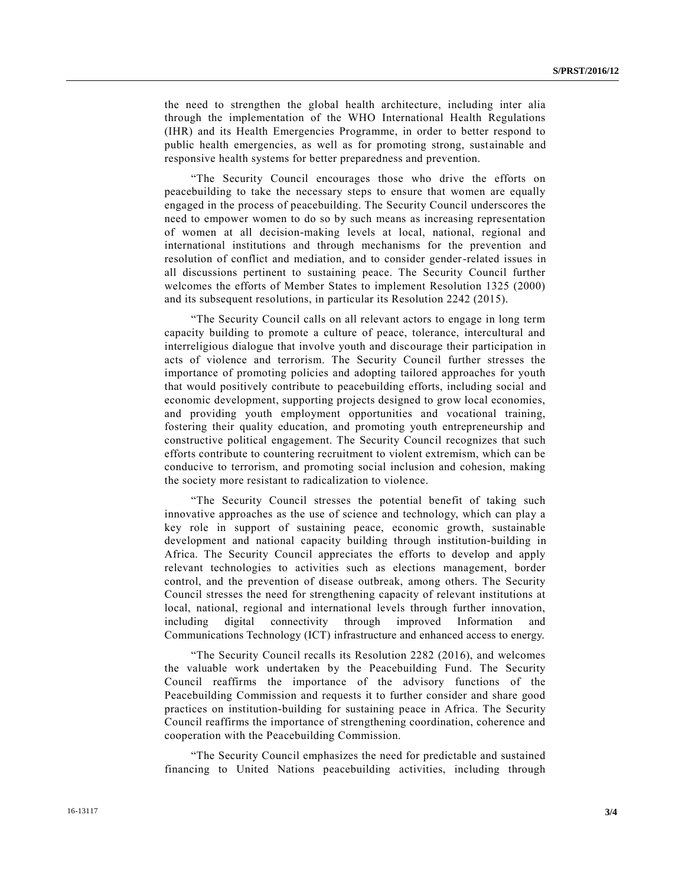the need to strengthen the global health architecture, including inter alia through the implementation of the WHO International Health Regulations (IHR) and its Health Emergencies Programme, in order to better respond to public health emergencies, as well as for promoting strong, sustainable and responsive health systems for better preparedness and prevention.

"The Security Council encourages those who drive the efforts on peacebuilding to take the necessary steps to ensure that women are equally engaged in the process of peacebuilding. The Security Council underscores the need to empower women to do so by such means as increasing representation of women at all decision-making levels at local, national, regional and international institutions and through mechanisms for the prevention and resolution of conflict and mediation, and to consider gender-related issues in all discussions pertinent to sustaining peace. The Security Council further welcomes the efforts of Member States to implement Resolution 1325 (2000) and its subsequent resolutions, in particular its Resolution 2242 (2015).

"The Security Council calls on all relevant actors to engage in long term capacity building to promote a culture of peace, tolerance, intercultural and interreligious dialogue that involve youth and discourage their participation in acts of violence and terrorism. The Security Council further stresses the importance of promoting policies and adopting tailored approaches for youth that would positively contribute to peacebuilding efforts, including social and economic development, supporting projects designed to grow local economies, and providing youth employment opportunities and vocational training, fostering their quality education, and promoting youth entrepreneurship and constructive political engagement. The Security Council recognizes that such efforts contribute to countering recruitment to violent extremism, which can be conducive to terrorism, and promoting social inclusion and cohesion, making the society more resistant to radicalization to violence.

"The Security Council stresses the potential benefit of taking such innovative approaches as the use of science and technology, which can play a key role in support of sustaining peace, economic growth, sustainable development and national capacity building through institution-building in Africa. The Security Council appreciates the efforts to develop and apply relevant technologies to activities such as elections management, border control, and the prevention of disease outbreak, among others. The Security Council stresses the need for strengthening capacity of relevant institutions at local, national, regional and international levels through further innovation, including digital connectivity through improved Information and Communications Technology (ICT) infrastructure and enhanced access to energy.

"The Security Council recalls its Resolution 2282 (2016), and welcomes the valuable work undertaken by the Peacebuilding Fund. The Security Council reaffirms the importance of the advisory functions of the Peacebuilding Commission and requests it to further consider and share good practices on institution-building for sustaining peace in Africa. The Security Council reaffirms the importance of strengthening coordination, coherence and cooperation with the Peacebuilding Commission.

"The Security Council emphasizes the need for predictable and sustained financing to United Nations peacebuilding activities, including through